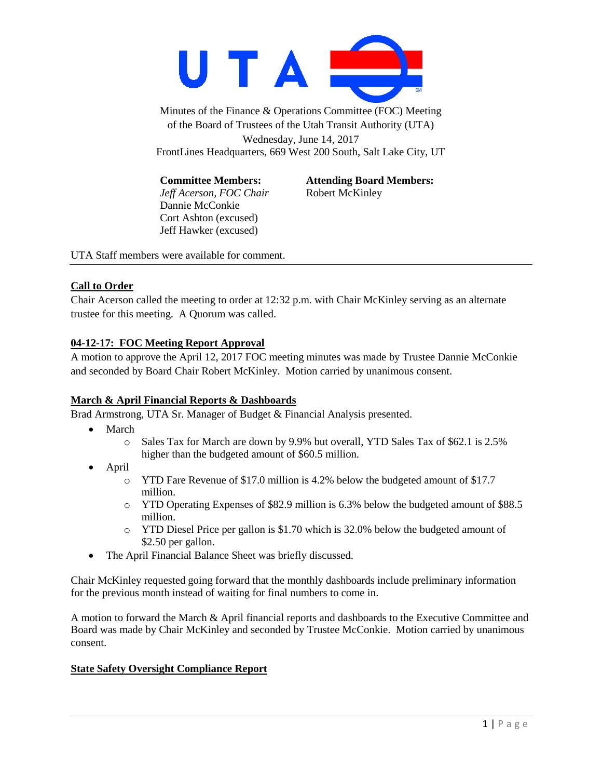

Minutes of the Finance & Operations Committee (FOC) Meeting of the Board of Trustees of the Utah Transit Authority (UTA) Wednesday, June 14, 2017 FrontLines Headquarters, 669 West 200 South, Salt Lake City, UT

*Jeff Acerson, FOC Chair* Robert McKinley Dannie McConkie Cort Ashton (excused) Jeff Hawker (excused)

**Committee Members: Attending Board Members:**

UTA Staff members were available for comment.

#### **Call to Order**

Chair Acerson called the meeting to order at 12:32 p.m. with Chair McKinley serving as an alternate trustee for this meeting. A Quorum was called.

### **04-12-17: FOC Meeting Report Approval**

A motion to approve the April 12, 2017 FOC meeting minutes was made by Trustee Dannie McConkie and seconded by Board Chair Robert McKinley. Motion carried by unanimous consent.

### **March & April Financial Reports & Dashboards**

Brad Armstrong, UTA Sr. Manager of Budget & Financial Analysis presented.

- March
	- o Sales Tax for March are down by 9.9% but overall, YTD Sales Tax of \$62.1 is 2.5% higher than the budgeted amount of \$60.5 million.
- April
	- o YTD Fare Revenue of \$17.0 million is 4.2% below the budgeted amount of \$17.7 million.
	- o YTD Operating Expenses of \$82.9 million is 6.3% below the budgeted amount of \$88.5 million.
	- o YTD Diesel Price per gallon is \$1.70 which is 32.0% below the budgeted amount of \$2.50 per gallon.
- The April Financial Balance Sheet was briefly discussed.

Chair McKinley requested going forward that the monthly dashboards include preliminary information for the previous month instead of waiting for final numbers to come in.

A motion to forward the March & April financial reports and dashboards to the Executive Committee and Board was made by Chair McKinley and seconded by Trustee McConkie. Motion carried by unanimous consent.

### **State Safety Oversight Compliance Report**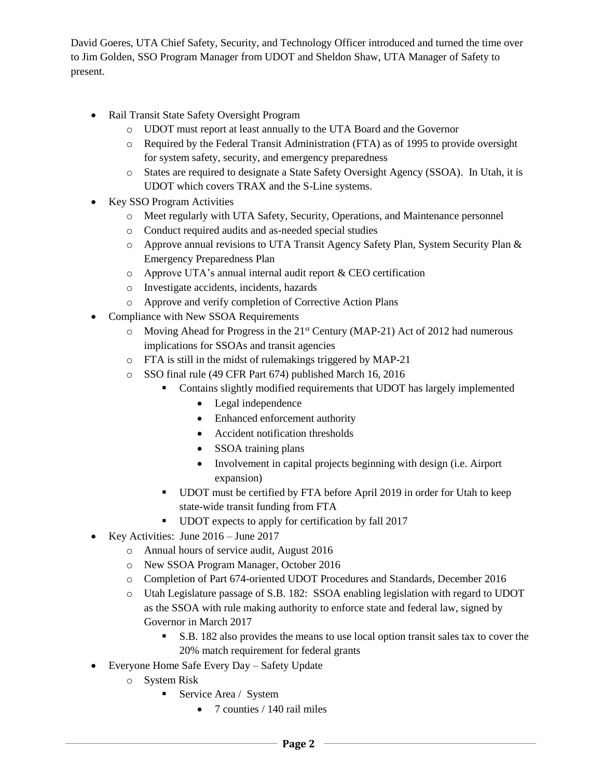David Goeres, UTA Chief Safety, Security, and Technology Officer introduced and turned the time over to Jim Golden, SSO Program Manager from UDOT and Sheldon Shaw, UTA Manager of Safety to present.

- Rail Transit State Safety Oversight Program
	- o UDOT must report at least annually to the UTA Board and the Governor
	- o Required by the Federal Transit Administration (FTA) as of 1995 to provide oversight for system safety, security, and emergency preparedness
	- o States are required to designate a State Safety Oversight Agency (SSOA). In Utah, it is UDOT which covers TRAX and the S-Line systems.
- Key SSO Program Activities
	- o Meet regularly with UTA Safety, Security, Operations, and Maintenance personnel
	- o Conduct required audits and as-needed special studies
	- o Approve annual revisions to UTA Transit Agency Safety Plan, System Security Plan & Emergency Preparedness Plan
	- o Approve UTA's annual internal audit report & CEO certification
	- o Investigate accidents, incidents, hazards
	- o Approve and verify completion of Corrective Action Plans
- Compliance with New SSOA Requirements
	- $\circ$  Moving Ahead for Progress in the 21<sup>st</sup> Century (MAP-21) Act of 2012 had numerous implications for SSOAs and transit agencies
	- o FTA is still in the midst of rulemakings triggered by MAP-21
	- o SSO final rule (49 CFR Part 674) published March 16, 2016
		- Contains slightly modified requirements that UDOT has largely implemented
			- Legal independence
			- Enhanced enforcement authority
			- Accident notification thresholds
			- SSOA training plans
			- Involvement in capital projects beginning with design (i.e. Airport expansion)
		- UDOT must be certified by FTA before April 2019 in order for Utah to keep state-wide transit funding from FTA
		- UDOT expects to apply for certification by fall 2017
- Exerchedeur Key Activities: June  $2016 -$  June  $2017$ 
	- o Annual hours of service audit, August 2016
	- o New SSOA Program Manager, October 2016
	- o Completion of Part 674-oriented UDOT Procedures and Standards, December 2016
	- o Utah Legislature passage of S.B. 182: SSOA enabling legislation with regard to UDOT as the SSOA with rule making authority to enforce state and federal law, signed by Governor in March 2017
		- S.B. 182 also provides the means to use local option transit sales tax to cover the 20% match requirement for federal grants
- Everyone Home Safe Every Day Safety Update
	- o System Risk
		- **Service Area / System** 
			- 7 counties / 140 rail miles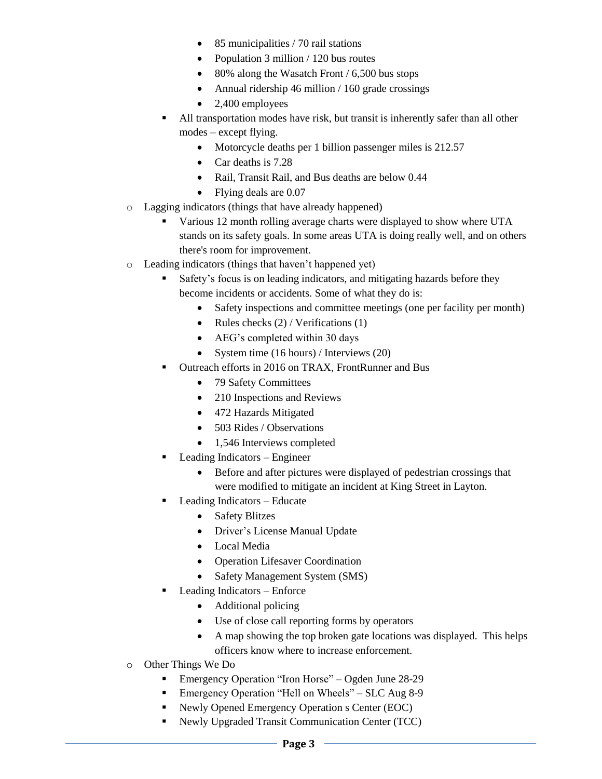- 85 municipalities / 70 rail stations
- Population 3 million / 120 bus routes
- 80% along the Wasatch Front / 6,500 bus stops
- Annual ridership 46 million  $/ 160$  grade crossings
- $\bullet$  2,400 employees
- All transportation modes have risk, but transit is inherently safer than all other modes – except flying.
	- Motorcycle deaths per 1 billion passenger miles is 212.57
	- Car deaths is 7.28
	- Rail, Transit Rail, and Bus deaths are below 0.44
	- Flying deals are 0.07
- o Lagging indicators (things that have already happened)
	- Various 12 month rolling average charts were displayed to show where UTA stands on its safety goals. In some areas UTA is doing really well, and on others there's room for improvement.
- o Leading indicators (things that haven't happened yet)
	- Safety's focus is on leading indicators, and mitigating hazards before they become incidents or accidents. Some of what they do is:
		- Safety inspections and committee meetings (one per facility per month)
		- Rules checks  $(2)$  / Verifications  $(1)$
		- AEG's completed within 30 days
		- System time  $(16 \text{ hours})$  / Interviews  $(20)$
	- Outreach efforts in 2016 on TRAX, FrontRunner and Bus
		- 79 Safety Committees
		- 210 Inspections and Reviews
		- 472 Hazards Mitigated
		- 503 Rides / Observations
		- 1,546 Interviews completed
	- Leading Indicators Engineer
		- Before and after pictures were displayed of pedestrian crossings that were modified to mitigate an incident at King Street in Layton.
		- Leading Indicators Educate
			- Safety Blitzes
			- Driver's License Manual Update
			- Local Media
			- Operation Lifesaver Coordination
			- Safety Management System (SMS)
	- Leading Indicators Enforce
		- Additional policing
		- Use of close call reporting forms by operators
		- A map showing the top broken gate locations was displayed. This helps officers know where to increase enforcement.
- o Other Things We Do
	- Emergency Operation "Iron Horse" Ogden June 28-29
	- Emergency Operation "Hell on Wheels" SLC Aug 8-9
	- Newly Opened Emergency Operation s Center (EOC)
	- Newly Upgraded Transit Communication Center (TCC)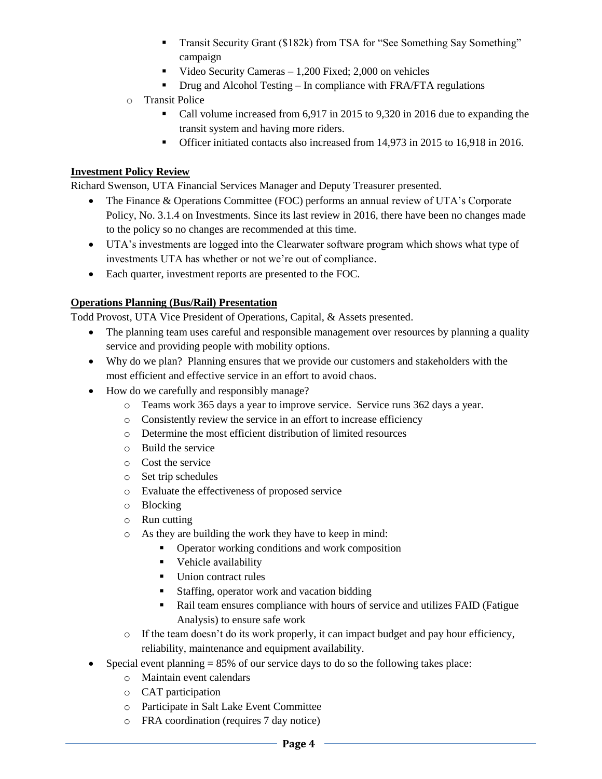- Transit Security Grant (\$182k) from TSA for "See Something Say Something" campaign
- Video Security Cameras  $-1,200$  Fixed; 2,000 on vehicles
- Drug and Alcohol Testing In compliance with FRA/FTA regulations
- o Transit Police
	- Call volume increased from 6,917 in 2015 to 9,320 in 2016 due to expanding the transit system and having more riders.
	- Officer initiated contacts also increased from 14,973 in 2015 to 16,918 in 2016.

## **Investment Policy Review**

Richard Swenson, UTA Financial Services Manager and Deputy Treasurer presented.

- The Finance & Operations Committee (FOC) performs an annual review of UTA's Corporate Policy, No. 3.1.4 on Investments. Since its last review in 2016, there have been no changes made to the policy so no changes are recommended at this time.
- UTA's investments are logged into the Clearwater software program which shows what type of investments UTA has whether or not we're out of compliance.
- Each quarter, investment reports are presented to the FOC.

# **Operations Planning (Bus/Rail) Presentation**

Todd Provost, UTA Vice President of Operations, Capital, & Assets presented.

- The planning team uses careful and responsible management over resources by planning a quality service and providing people with mobility options.
- Why do we plan? Planning ensures that we provide our customers and stakeholders with the most efficient and effective service in an effort to avoid chaos.
- How do we carefully and responsibly manage?
	- o Teams work 365 days a year to improve service. Service runs 362 days a year.
	- o Consistently review the service in an effort to increase efficiency
	- o Determine the most efficient distribution of limited resources
	- o Build the service
	- o Cost the service
	- o Set trip schedules
	- o Evaluate the effectiveness of proposed service
	- o Blocking
	- o Run cutting
	- o As they are building the work they have to keep in mind:
		- Operator working conditions and work composition
		- **•** Vehicle availability
		- Union contract rules
		- Staffing, operator work and vacation bidding
		- Rail team ensures compliance with hours of service and utilizes FAID (Fatigue Analysis) to ensure safe work
	- $\circ$  If the team doesn't do its work properly, it can impact budget and pay hour efficiency, reliability, maintenance and equipment availability.
- $\bullet$  Special event planning = 85% of our service days to do so the following takes place:
	- o Maintain event calendars
	- o CAT participation
	- o Participate in Salt Lake Event Committee
	- o FRA coordination (requires 7 day notice)